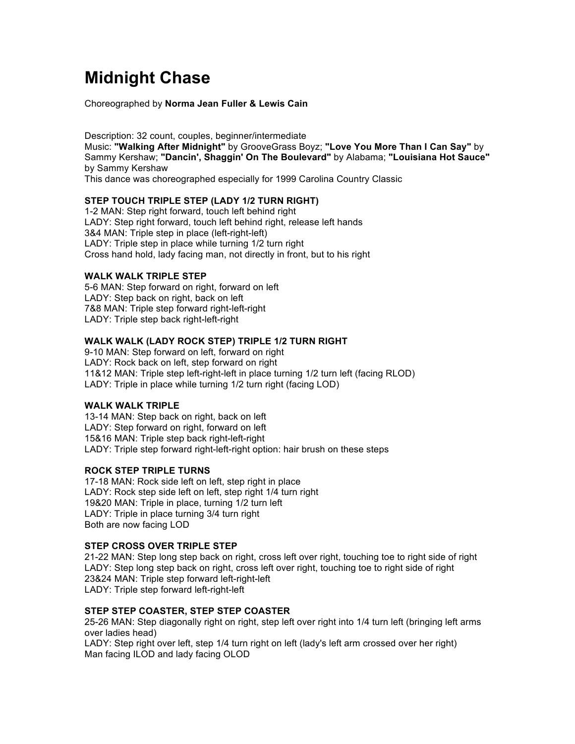# **Midnight Chase**

Choreographed by **Norma Jean Fuller & Lewis Cain**

Description: 32 count, couples, beginner/intermediate Music: **"Walking After Midnight"** by GrooveGrass Boyz; **"Love You More Than I Can Say"** by Sammy Kershaw; **"Dancin', Shaggin' On The Boulevard"** by Alabama; **"Louisiana Hot Sauce"** by Sammy Kershaw

This dance was choreographed especially for 1999 Carolina Country Classic

## **STEP TOUCH TRIPLE STEP (LADY 1/2 TURN RIGHT)**

1-2 MAN: Step right forward, touch left behind right LADY: Step right forward, touch left behind right, release left hands 3&4 MAN: Triple step in place (left-right-left) LADY: Triple step in place while turning 1/2 turn right Cross hand hold, lady facing man, not directly in front, but to his right

## **WALK WALK TRIPLE STEP**

5-6 MAN: Step forward on right, forward on left LADY: Step back on right, back on left 7&8 MAN: Triple step forward right-left-right LADY: Triple step back right-left-right

# **WALK WALK (LADY ROCK STEP) TRIPLE 1/2 TURN RIGHT**

9-10 MAN: Step forward on left, forward on right LADY: Rock back on left, step forward on right 11&12 MAN: Triple step left-right-left in place turning 1/2 turn left (facing RLOD) LADY: Triple in place while turning 1/2 turn right (facing LOD)

#### **WALK WALK TRIPLE**

13-14 MAN: Step back on right, back on left LADY: Step forward on right, forward on left 15&16 MAN: Triple step back right-left-right LADY: Triple step forward right-left-right option: hair brush on these steps

# **ROCK STEP TRIPLE TURNS**

17-18 MAN: Rock side left on left, step right in place LADY: Rock step side left on left, step right 1/4 turn right 19&20 MAN: Triple in place, turning 1/2 turn left LADY: Triple in place turning 3/4 turn right Both are now facing LOD

#### **STEP CROSS OVER TRIPLE STEP**

21-22 MAN: Step long step back on right, cross left over right, touching toe to right side of right LADY: Step long step back on right, cross left over right, touching toe to right side of right 23&24 MAN: Triple step forward left-right-left LADY: Triple step forward left-right-left

# **STEP STEP COASTER, STEP STEP COASTER**

25-26 MAN: Step diagonally right on right, step left over right into 1/4 turn left (bringing left arms over ladies head)

LADY: Step right over left, step 1/4 turn right on left (lady's left arm crossed over her right) Man facing ILOD and lady facing OLOD